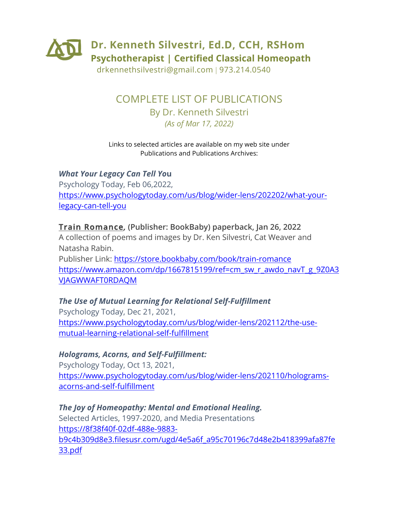

drkennethsilvestri@gmail.com | 973.214.0540

# COMPLETE LIST OF PUBLICATIONS By Dr. Kenneth Silvestri *(As of Mar 17, 2022)*

#### Links to selected articles are available on my web site under Publications and Publications Archives:

*What Your Legacy Can Tell Yo***u** Psychology Today, Feb 06,2022, https://www.psychologytoday.com/us/blog/wider-lens/202202/what-yourlegacy-can-tell-you

#### **Train Romance***,* **(Publisher: BookBaby) paperback, Jan 26, 2022**

A collection of poems and images by Dr. Ken Silvestri, Cat Weaver and Natasha Rabin.

Publisher Link: https://store.bookbaby.com/book/train-romance https://www.amazon.com/dp/1667815199/ref=cm\_sw\_r\_awdo\_navT\_g\_9Z0A3 VJAGWWAFT0RDAQM

#### *The Use of Mutual Learning for Relational Self-Fulfillment* Psychology Today, Dec 21, 2021, https://www.psychologytoday.com/us/blog/wider-lens/202112/the-usemutual-learning-relational-self-fulfillment

#### *Holograms, Acorns, and Self-Fulfillment:*

Psychology Today, Oct 13, 2021, https://www.psychologytoday.com/us/blog/wider-lens/202110/hologramsacorns-and-self-fulfillment

# *The Joy of Homeopathy: Mental and Emotional Healing.* Selected Articles, 1997-2020, and Media Presentations https://8f38f40f-02df-488e-9883 b9c4b309d8e3.filesusr.com/ugd/4e5a6f\_a95c70196c7d48e2b418399afa87fe 33.pdf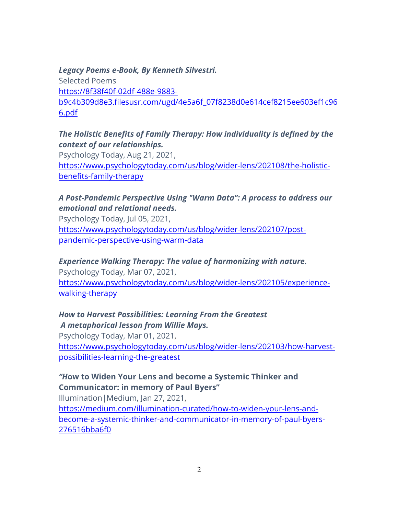#### *Legacy Poems e-Book, By Kenneth Silvestri.*

Selected Poems https://8f38f40f-02df-488e-9883 b9c4b309d8e3.filesusr.com/ugd/4e5a6f\_07f8238d0e614cef8215ee603ef1c96 6.pdf

## *The Holistic Benefits of Family Therapy: How individuality is defined by the context of our relationships.*

Psychology Today, Aug 21, 2021, https://www.psychologytoday.com/us/blog/wider-lens/202108/the-holisticbenefits-family-therapy

#### *A Post-Pandemic Perspective Using "Warm Data": A process to address our emotional and relational needs.*

Psychology Today, Jul 05, 2021, https://www.psychologytoday.com/us/blog/wider-lens/202107/postpandemic-perspective-using-warm-data

#### *Experience Walking Therapy: The value of harmonizing with nature.*

Psychology Today, Mar 07, 2021, https://www.psychologytoday.com/us/blog/wider-lens/202105/experiencewalking-therapy

#### *How to Harvest Possibilities: Learning From the Greatest A metaphorical lesson from Willie Mays.*

Psychology Today, Mar 01, 2021, https://www.psychologytoday.com/us/blog/wider-lens/202103/how-harvestpossibilities-learning-the-greatest

# *"H***ow to Widen Your Lens and become a Systemic Thinker and Communicator: in memory of Paul Byers"**

Illumination|Medium, Jan 27, 2021,

https://medium.com/illumination-curated/how-to-widen-your-lens-andbecome-a-systemic-thinker-and-communicator-in-memory-of-paul-byers-276516bba6f0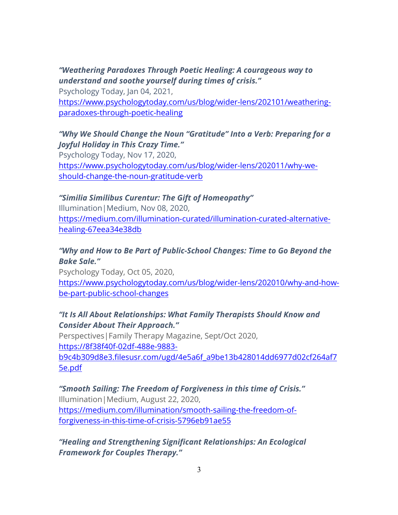# *"Weathering Paradoxes Through Poetic Healing: A courageous way to understand and soothe yourself during times of crisis."*

Psychology Today, Jan 04, 2021, https://www.psychologytoday.com/us/blog/wider-lens/202101/weatheringparadoxes-through-poetic-healing

## *"Why We Should Change the Noun "Gratitude" Into a Verb: Preparing for a Joyful Holiday in This Crazy Time."*

Psychology Today, Nov 17, 2020, https://www.psychologytoday.com/us/blog/wider-lens/202011/why-weshould-change-the-noun-gratitude-verb

#### *"Similia Similibus Curentur: The Gift of Homeopathy"*

Illumination|Medium, Nov 08, 2020, https://medium.com/illumination-curated/illumination-curated-alternativehealing-67eea34e38db

#### *"Why and How to Be Part of Public-School Changes: Time to Go Beyond the Bake Sale."*

Psychology Today, Oct 05, 2020, https://www.psychologytoday.com/us/blog/wider-lens/202010/why-and-howbe-part-public-school-changes

#### *"It Is All About Relationships: What Family Therapists Should Know and Consider About Their Approach."*

Perspectives|Family Therapy Magazine, Sept/Oct 2020, https://8f38f40f-02df-488e-9883 b9c4b309d8e3.filesusr.com/ugd/4e5a6f\_a9be13b428014dd6977d02cf264af7 5e.pdf

*"Smooth Sailing: The Freedom of Forgiveness in this time of Crisis."* Illumination|Medium, August 22, 2020, https://medium.com/illumination/smooth-sailing-the-freedom-offorgiveness-in-this-time-of-crisis-5796eb91ae55

*"Healing and Strengthening Significant Relationships: An Ecological Framework for Couples Therapy."*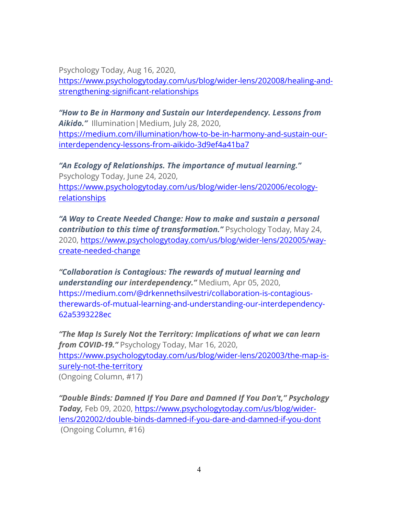Psychology Today, Aug 16, 2020,

https://www.psychologytoday.com/us/blog/wider-lens/202008/healing-andstrengthening-significant-relationships

*"How to Be in Harmony and Sustain our Interdependency. Lessons from Aikido."* Illumination|Medium, July 28, 2020, https://medium.com/illumination/how-to-be-in-harmony-and-sustain-ourinterdependency-lessons-from-aikido-3d9ef4a41ba7

*"An Ecology of Relationships. The importance of mutual learning."* Psychology Today, June 24, 2020, https://www.psychologytoday.com/us/blog/wider-lens/202006/ecologyrelationships

*"A Way to Create Needed Change: How to make and sustain a personal contribution to this time of transformation."* Psychology Today, May 24, 2020, https://www.psychologytoday.com/us/blog/wider-lens/202005/waycreate-needed-change

*"Collaboration is Contagious: The rewards of mutual learning and understanding our interdependency."* Medium, Apr 05, 2020, https://medium.com/@drkennethsilvestri/collaboration-is-contagioustherewards-of-mutual-learning-and-understanding-our-interdependency-62a5393228ec

*"The Map Is Surely Not the Territory: Implications of what we can learn from COVID-19."* Psychology Today, Mar 16, 2020, https://www.psychologytoday.com/us/blog/wider-lens/202003/the-map-issurely-not-the-territory (Ongoing Column, #17)

*"Double Binds: Damned If You Dare and Damned If You Don't," Psychology Today,* Feb 09, 2020, https://www.psychologytoday.com/us/blog/widerlens/202002/double-binds-damned-if-you-dare-and-damned-if-you-dont (Ongoing Column, #16)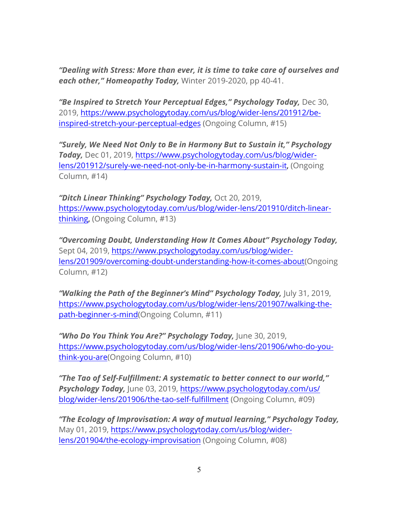*"Dealing with Stress: More than ever, it is time to take care of ourselves and each other," Homeopathy Today,* Winter 2019-2020, pp 40-41.

*"Be Inspired to Stretch Your Perceptual Edges," Psychology Today,* Dec 30, 2019, https://www.psychologytoday.com/us/blog/wider-lens/201912/beinspired-stretch-your-perceptual-edges (Ongoing Column, #15)

*"Surely, We Need Not Only to Be in Harmony But to Sustain it," Psychology Today,* Dec 01, 2019, https://www.psychologytoday.com/us/blog/widerlens/201912/surely-we-need-not-only-be-in-harmony-sustain-it, (Ongoing Column, #14)

*"Ditch Linear Thinking" Psychology Today,* Oct 20, 2019, https://www.psychologytoday.com/us/blog/wider-lens/201910/ditch-linearthinking, (Ongoing Column, #13)

*"Overcoming Doubt, Understanding How It Comes About" Psychology Today,*  Sept 04, 2019, https://www.psychologytoday.com/us/blog/widerlens/201909/overcoming-doubt-understanding-how-it-comes-about(Ongoing Column, #12)

*"Walking the Path of the Beginner's Mind" Psychology Today,* July 31, 2019, https://www.psychologytoday.com/us/blog/wider-lens/201907/walking-thepath-beginner-s-mind(Ongoing Column, #11)

*"Who Do You Think You Are?" Psychology Today,* June 30, 2019, https://www.psychologytoday.com/us/blog/wider-lens/201906/who-do-youthink-you-are(Ongoing Column, #10)

*"The Tao of Self-Fulfillment: A systematic to better connect to our world," Psychology Today,* June 03, 2019, https://www.psychologytoday.com/us/ blog/wider-lens/201906/the-tao-self-fulfillment (Ongoing Column, #09)

*"The Ecology of Improvisation: A way of mutual learning," Psychology Today,*  May 01, 2019, https://www.psychologytoday.com/us/blog/widerlens/201904/the-ecology-improvisation (Ongoing Column, #08)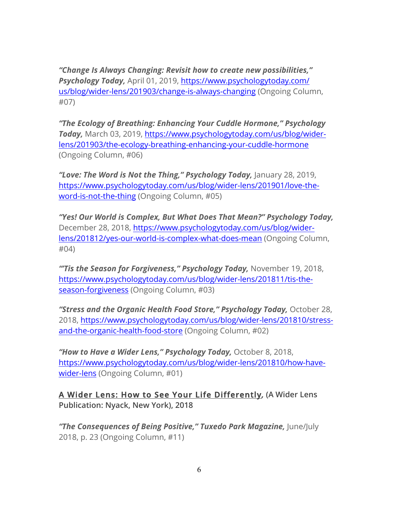*"Change Is Always Changing: Revisit how to create new possibilities," Psychology Today,* April 01, 2019, https://www.psychologytoday.com/ us/blog/wider-lens/201903/change-is-always-changing (Ongoing Column, #07)

*"The Ecology of Breathing: Enhancing Your Cuddle Hormone," Psychology Today,* March 03, 2019, https://www.psychologytoday.com/us/blog/widerlens/201903/the-ecology-breathing-enhancing-your-cuddle-hormone (Ongoing Column, #06)

*"Love: The Word is Not the Thing," Psychology Today,* January 28, 2019, https://www.psychologytoday.com/us/blog/wider-lens/201901/love-theword-is-not-the-thing (Ongoing Column, #05)

*"Yes! Our World is Complex, But What Does That Mean?" Psychology Today,*  December 28, 2018, https://www.psychologytoday.com/us/blog/widerlens/201812/yes-our-world-is-complex-what-does-mean (Ongoing Column, #04)

*"'Tis the Season for Forgiveness," Psychology Today,* November 19, 2018, https://www.psychologytoday.com/us/blog/wider-lens/201811/tis-theseason-forgiveness (Ongoing Column, #03)

*"Stress and the Organic Health Food Store," Psychology Today,* October 28, 2018, https://www.psychologytoday.com/us/blog/wider-lens/201810/stressand-the-organic-health-food-store (Ongoing Column, #02)

*"How to Have a Wider Lens," Psychology Today,* October 8, 2018, https://www.psychologytoday.com/us/blog/wider-lens/201810/how-havewider-lens (Ongoing Column, #01)

**A Wider Lens: How to See Your Life Differently***,* **(A Wider Lens Publication: Nyack, New York), 2018**

**"The Consequences of Being Positive," Tuxedo Park Magazine, June/July** 2018, p. 23 (Ongoing Column, #11)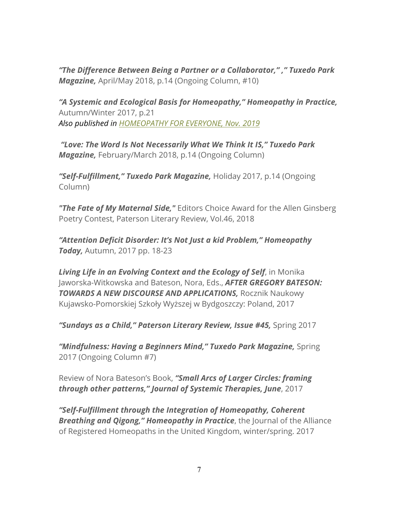*"The Difference Between Being a Partner or a Collaborator," ," Tuxedo Park Magazine,* April/May 2018, p.14 (Ongoing Column, #10)

*"A Systemic and Ecological Basis for Homeopathy," Homeopathy in Practice,*  Autumn/Winter 2017, p.21 *Also published in HOMEOPATHY FOR EVERYONE, Nov. 2019*

*"Love: The Word Is Not Necessarily What We Think It IS," Tuxedo Park Magazine,* February/March 2018, p.14 (Ongoing Column)

*"Self-Fulfillment," Tuxedo Park Magazine,* Holiday 2017, p.14 (Ongoing Column)

*"The Fate of My Maternal Side,"* Editors Choice Award for the Allen Ginsberg Poetry Contest, Paterson Literary Review, Vol.46, 2018

*"Attention Deficit Disorder: It's Not Just a kid Problem," Homeopathy Today,* Autumn, 2017 pp. 18-23

*Living Life in an Evolving Context and the Ecology of Self*, in Monika Jaworska-Witkowska and Bateson, Nora, Eds., *AFTER GREGORY BATESON: TOWARDS A NEW DISCOURSE AND APPLICATIONS,* Rocznik Naukowy Kujawsko-Pomorskiej Szkoły Wyższej w Bydgoszczy: Poland, 2017

*"Sundays as a Child," Paterson Literary Review, Issue #45,* Spring 2017

*"Mindfulness: Having a Beginners Mind," Tuxedo Park Magazine,* Spring 2017 (Ongoing Column #7)

Review of Nora Bateson's Book, *"Small Arcs of Larger Circles: framing through other patterns," Journal of Systemic Therapies, June*, 2017

*"Self-Fulfillment through the Integration of Homeopathy, Coherent Breathing and Qigong," Homeopathy in Practice*, the Journal of the Alliance of Registered Homeopaths in the United Kingdom, winter/spring. 2017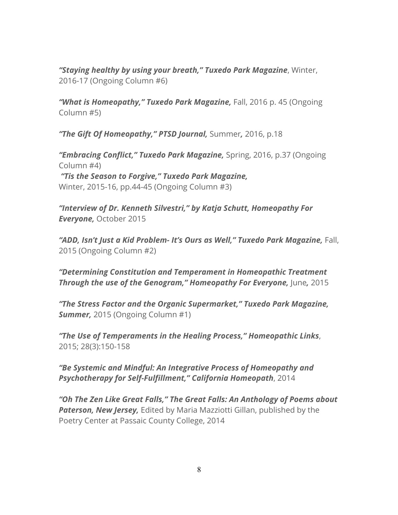*"Staying healthy by using your breath," Tuxedo Park Magazine*, Winter, 2016-17 (Ongoing Column #6)

*"What is Homeopathy," Tuxedo Park Magazine,* Fall, 2016 p. 45 (Ongoing Column #5)

*"The Gift Of Homeopathy," PTSD Journal,* Summer*,* 2016, p.18

*"Embracing Conflict," Tuxedo Park Magazine,* Spring, 2016, p.37 (Ongoing Column #4) *"Tis the Season to Forgive," Tuxedo Park Magazine,*  Winter, 2015-16, pp.44-45 (Ongoing Column #3)

*"Interview of Dr. Kenneth Silvestri," by Katja Schutt, Homeopathy For Everyone,* October 2015

*"ADD, Isn't Just a Kid Problem- It's Ours as Well," Tuxedo Park Magazine,* Fall, 2015 (Ongoing Column #2)

*"Determining Constitution and Temperament in Homeopathic Treatment Through the use of the Genogram," Homeopathy For Everyone, June, 2015* 

*"The Stress Factor and the Organic Supermarket," Tuxedo Park Magazine, Summer,* 2015 (Ongoing Column #1)

*"The Use of Temperaments in the Healing Process," Homeopathic Links*, 2015; 28(3):150-158

*"Be Systemic and Mindful: An Integrative Process of Homeopathy and Psychotherapy for Self-Fulfillment," California Homeopath*, 2014

*"Oh The Zen Like Great Falls," The Great Falls: An Anthology of Poems about Paterson, New Jersey,* Edited by Maria Mazziotti Gillan, published by the Poetry Center at Passaic County College, 2014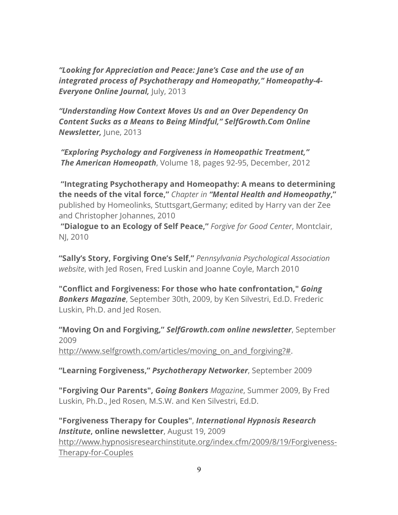*"Looking for Appreciation and Peace: Jane's Case and the use of an integrated process of Psychotherapy and Homeopathy," Homeopathy-4- Everyone Online Journal, July, 2013* 

*"Understanding How Context Moves Us and an Over Dependency On Content Sucks as a Means to Being Mindful," SelfGrowth.Com Online Newsletter, June, 2013* 

*"Exploring Psychology and Forgiveness in Homeopathic Treatment," The American Homeopath*, Volume 18, pages 92-95, December, 2012

**"Integrating Psychotherapy and Homeopathy: A means to determining the needs of the vital force,"** *Chapter in "Mental Health and Homeopathy***,"** published by Homeolinks, Stuttsgart,Germany; edited by Harry van der Zee and Christopher Johannes, 2010

**"Dialogue to an Ecology of Self Peace,"** *Forgive for Good Center*, Montclair, NJ, 2010

**"Sally's Story, Forgiving One's Self,"** *Pennsylvania Psychological Association website*, with Jed Rosen, Fred Luskin and Joanne Coyle, March 2010

**"Conflict and Forgiveness: For those who hate confrontation,"** *Going Bonkers Magazine*, September 30th, 2009, by Ken Silvestri, Ed.D. Frederic Luskin, Ph.D. and Jed Rosen.

**"Moving On and Forgiving,"** *SelfGrowth.com online newsletter*, September 2009 http://www.selfgrowth.com/articles/moving\_on\_and\_forgiving?#.

**"Learning Forgiveness,"** *Psychotherapy Networker*, September 2009

**"Forgiving Our Parents",** *Going Bonkers Magazine*, Summer 2009, By Fred Luskin, Ph.D., Jed Rosen, M.S.W. and Ken Silvestri, Ed.D.

**"Forgiveness Therapy for Couples"**, *International Hypnosis Research Institute***, online newsletter**, August 19, 2009 http://www.hypnosisresearchinstitute.org/index.cfm/2009/8/19/Forgiveness-Therapy-for-Couples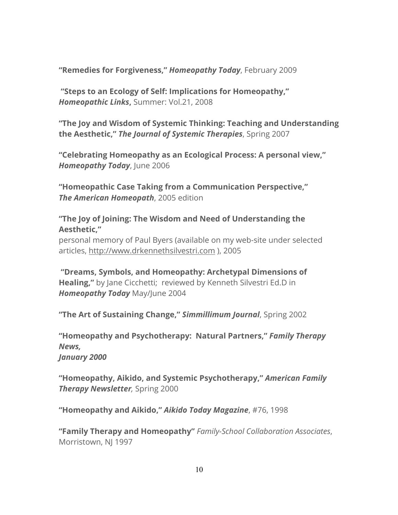**"Remedies for Forgiveness,"** *Homeopathy Today*, February 2009

**"Steps to an Ecology of Self: Implications for Homeopathy,"** *Homeopathic Links***,** Summer: Vol.21, 2008

**"The Joy and Wisdom of Systemic Thinking: Teaching and Understanding the Aesthetic,"** *The Journal of Systemic Therapies*, Spring 2007

**"Celebrating Homeopathy as an Ecological Process: A personal view,"** *Homeopathy Today*, June 2006

**"Homeopathic Case Taking from a Communication Perspective,"** *The American Homeopath*, 2005 edition

**"The Joy of Joining: The Wisdom and Need of Understanding the Aesthetic,"**

personal memory of Paul Byers (available on my web-site under selected articles, http://www.drkennethsilvestri.com ), 2005

**"Dreams, Symbols, and Homeopathy: Archetypal Dimensions of Healing,"** by Jane Cicchetti; reviewed by Kenneth Silvestri Ed.D in *Homeopathy Today* May/June 2004

**"The Art of Sustaining Change,"** *Simmillimum Journal*, Spring 2002

**"Homeopathy and Psychotherapy: Natural Partners,"** *Family Therapy News,* 

*January 2000*

**"Homeopathy, Aikido, and Systemic Psychotherapy,"** *American Family Therapy Newsletter,* Spring 2000

**"Homeopathy and Aikido,"** *Aikido Today Magazine*, #76, 1998

**"Family Therapy and Homeopathy"** *Family-School Collaboration Associates*, Morristown, NJ 1997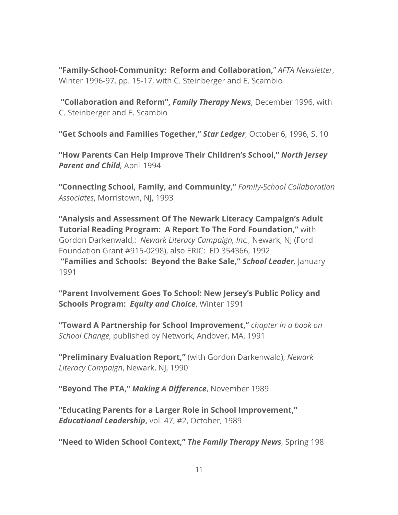**"Family-School-Community: Reform and Collaboration,**" *AFTA Newsletter*, Winter 1996-97, pp. 15-17, with C. Steinberger and E. Scambio

**"Collaboration and Reform",** *Family Therapy News*, December 1996, with C. Steinberger and E. Scambio

**"Get Schools and Families Together,"** *Star Ledger*, October 6, 1996, S. 10

**"How Parents Can Help Improve Their Children's School,"** *North Jersey Parent and Child,* April 1994

**"Connecting School, Family, and Community,"** *Family-School Collaboration Associates*, Morristown, NJ, 1993

**"Analysis and Assessment Of The Newark Literacy Campaign's Adult Tutorial Reading Program: A Report To The Ford Foundation,"** with Gordon Darkenwald,: *Newark Literacy Campaign, Inc.*, Newark, NJ (Ford Foundation Grant #915-0298), also ERIC: ED 354366, 1992 **"Families and Schools: Beyond the Bake Sale,"** *School Leader,* January 1991

**"Parent Involvement Goes To School: New Jersey's Public Policy and Schools Program:** *Equity and Choice*, Winter 1991

**"Toward A Partnership for School Improvement,"** *chapter in a book on School Change*, published by Network, Andover, MA, 1991

**"Preliminary Evaluation Report,"** (with Gordon Darkenwald), *Newark Literacy Campaign*, Newark, NJ, 1990

**"Beyond The PTA,"** *Making A Difference*, November 1989

**"Educating Parents for a Larger Role in School Improvement,"** *Educational Leadership***,** vol. 47, #2, October, 1989

**"Need to Widen School Context,"** *The Family Therapy News*, Spring 198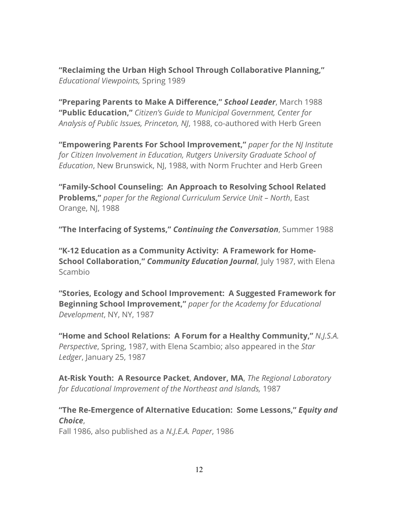**"Reclaiming the Urban High School Through Collaborative Planning,"** *Educational Viewpoints,* Spring 1989

**"Preparing Parents to Make A Difference,"** *School Leader*, March 1988 **"Public Education,"** *Citizen's Guide to Municipal Government, Center for Analysis of Public Issues, Princeton, NJ*, 1988, co-authored with Herb Green

**"Empowering Parents For School Improvement,"** *paper for the NJ Institute for Citizen Involvement in Education, Rutgers University Graduate School of Education*, New Brunswick, NJ, 1988, with Norm Fruchter and Herb Green

**"Family-School Counseling: An Approach to Resolving School Related Problems,"** *paper for the Regional Curriculum Service Unit – North*, East Orange, NJ, 1988

**"The Interfacing of Systems,"** *Continuing the Conversation*, Summer 1988

**"K-12 Education as a Community Activity: A Framework for Home-School Collaboration,"** *Community Education Journal*, July 1987, with Elena Scambio

**"Stories, Ecology and School Improvement: A Suggested Framework for Beginning School Improvement,"** *paper for the Academy for Educational Development*, NY, NY, 1987

**"Home and School Relations: A Forum for a Healthy Community,"** *N.J.S.A. Perspective*, Spring, 1987, with Elena Scambio; also appeared in the *Star Ledger*, January 25, 1987

**At-Risk Youth: A Resource Packet**, **Andover, MA**, *The Regional Laboratory for Educational Improvement of the Northeast and Islands,* 1987

# **"The Re-Emergence of Alternative Education: Some Lessons,"** *Equity and Choice*,

Fall 1986, also published as a *N.J.E.A. Paper*, 1986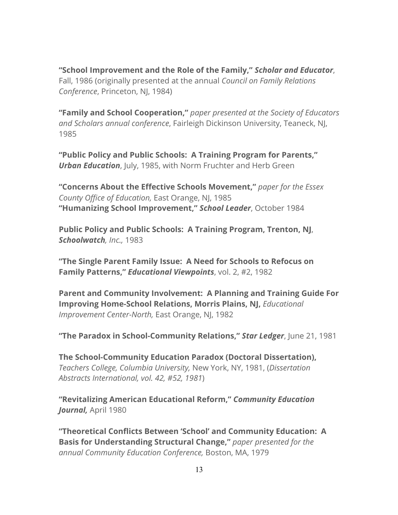**"School Improvement and the Role of the Family,"** *Scholar and Educator*, Fall, 1986 (originally presented at the annual *Council on Family Relations Conference*, Princeton, NJ, 1984)

**"Family and School Cooperation,"** *paper presented at the Society of Educators and Scholars annual conference*, Fairleigh Dickinson University, Teaneck, NJ, 1985

**"Public Policy and Public Schools: A Training Program for Parents,"** *Urban Education*, July, 1985, with Norm Fruchter and Herb Green

**"Concerns About the Effective Schools Movement,"** *paper for the Essex County Office of Education,* East Orange, NJ, 1985 **"Humanizing School Improvement,"** *School Leader*, October 1984

**Public Policy and Public Schools: A Training Program, Trenton, NJ**, *Schoolwatch, Inc.,* 1983

**"The Single Parent Family Issue: A Need for Schools to Refocus on Family Patterns,"** *Educational Viewpoints*, vol. 2, #2, 1982

**Parent and Community Involvement: A Planning and Training Guide For Improving Home-School Relations, Morris Plains, NJ,** *Educational Improvement Center-North,* East Orange, NJ, 1982

**"The Paradox in School-Community Relations,"** *Star Ledger*, June 21, 1981

**The School-Community Education Paradox (Doctoral Dissertation),** *Teachers College, Columbia University,* New York, NY, 1981, (*Dissertation Abstracts International, vol. 42, #52, 1981*)

**"Revitalizing American Educational Reform,"** *Community Education Journal,* April 1980

**"Theoretical Conflicts Between 'School' and Community Education: A Basis for Understanding Structural Change,"** *paper presented for the annual Community Education Conference,* Boston, MA, 1979